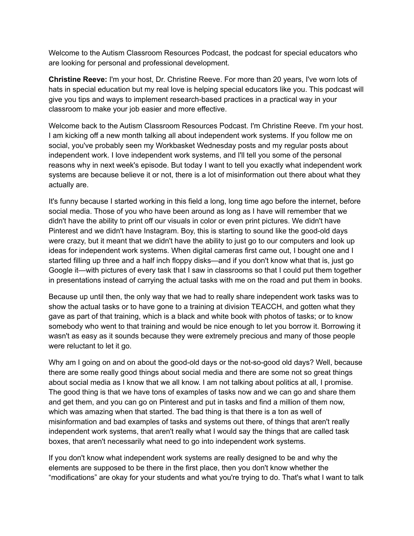Welcome to the Autism Classroom Resources Podcast, the podcast for special educators who are looking for personal and professional development.

**Christine Reeve:** I'm your host, Dr. Christine Reeve. For more than 20 years, I've worn lots of hats in special education but my real love is helping special educators like you. This podcast will give you tips and ways to implement research-based practices in a practical way in your classroom to make your job easier and more effective.

Welcome back to the Autism Classroom Resources Podcast. I'm Christine Reeve. I'm your host. I am kicking off a new month talking all about independent work systems. If you follow me on social, you've probably seen my Workbasket Wednesday posts and my regular posts about independent work. I love independent work systems, and I'll tell you some of the personal reasons why in next week's episode. But today I want to tell you exactly what independent work systems are because believe it or not, there is a lot of misinformation out there about what they actually are.

It's funny because I started working in this field a long, long time ago before the internet, before social media. Those of you who have been around as long as I have will remember that we didn't have the ability to print off our visuals in color or even print pictures. We didn't have Pinterest and we didn't have Instagram. Boy, this is starting to sound like the good-old days were crazy, but it meant that we didn't have the ability to just go to our computers and look up ideas for independent work systems. When digital cameras first came out, I bought one and I started filling up three and a half inch floppy disks—and if you don't know what that is, just go Google it—with pictures of every task that I saw in classrooms so that I could put them together in presentations instead of carrying the actual tasks with me on the road and put them in books.

Because up until then, the only way that we had to really share independent work tasks was to show the actual tasks or to have gone to a training at division TEACCH, and gotten what they gave as part of that training, which is a black and white book with photos of tasks; or to know somebody who went to that training and would be nice enough to let you borrow it. Borrowing it wasn't as easy as it sounds because they were extremely precious and many of those people were reluctant to let it go.

Why am I going on and on about the good-old days or the not-so-good old days? Well, because there are some really good things about social media and there are some not so great things about social media as I know that we all know. I am not talking about politics at all, I promise. The good thing is that we have tons of examples of tasks now and we can go and share them and get them, and you can go on Pinterest and put in tasks and find a million of them now, which was amazing when that started. The bad thing is that there is a ton as well of misinformation and bad examples of tasks and systems out there, of things that aren't really independent work systems, that aren't really what I would say the things that are called task boxes, that aren't necessarily what need to go into independent work systems.

If you don't know what independent work systems are really designed to be and why the elements are supposed to be there in the first place, then you don't know whether the "modifications" are okay for your students and what you're trying to do. That's what I want to talk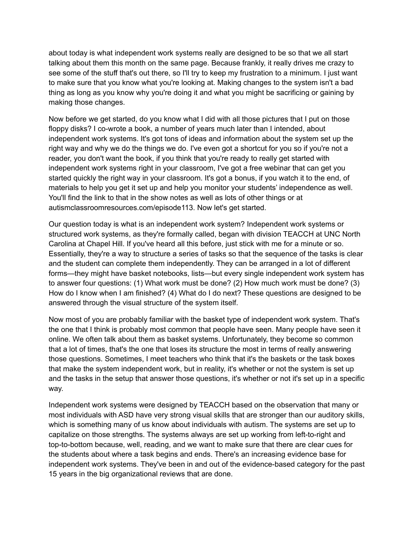about today is what independent work systems really are designed to be so that we all start talking about them this month on the same page. Because frankly, it really drives me crazy to see some of the stuff that's out there, so I'll try to keep my frustration to a minimum. I just want to make sure that you know what you're looking at. Making changes to the system isn't a bad thing as long as you know why you're doing it and what you might be sacrificing or gaining by making those changes.

Now before we get started, do you know what I did with all those pictures that I put on those floppy disks? I co-wrote a book, a number of years much later than I intended, about independent work systems. It's got tons of ideas and information about the system set up the right way and why we do the things we do. I've even got a shortcut for you so if you're not a reader, you don't want the book, if you think that you're ready to really get started with independent work systems right in your classroom, I've got a free webinar that can get you started quickly the right way in your classroom. It's got a bonus, if you watch it to the end, of materials to help you get it set up and help you monitor your students' independence as well. You'll find the link to that in the show notes as well as lots of other things or at autismclassroomresources.com/episode113. Now let's get started.

Our question today is what is an independent work system? Independent work systems or structured work systems, as they're formally called, began with division TEACCH at UNC North Carolina at Chapel Hill. If you've heard all this before, just stick with me for a minute or so. Essentially, they're a way to structure a series of tasks so that the sequence of the tasks is clear and the student can complete them independently. They can be arranged in a lot of different forms—they might have basket notebooks, lists—but every single independent work system has to answer four questions: (1) What work must be done? (2) How much work must be done? (3) How do I know when I am finished? (4) What do I do next? These questions are designed to be answered through the visual structure of the system itself.

Now most of you are probably familiar with the basket type of independent work system. That's the one that I think is probably most common that people have seen. Many people have seen it online. We often talk about them as basket systems. Unfortunately, they become so common that a lot of times, that's the one that loses its structure the most in terms of really answering those questions. Sometimes, I meet teachers who think that it's the baskets or the task boxes that make the system independent work, but in reality, it's whether or not the system is set up and the tasks in the setup that answer those questions, it's whether or not it's set up in a specific way.

Independent work systems were designed by TEACCH based on the observation that many or most individuals with ASD have very strong visual skills that are stronger than our auditory skills, which is something many of us know about individuals with autism. The systems are set up to capitalize on those strengths. The systems always are set up working from left-to-right and top-to-bottom because, well, reading, and we want to make sure that there are clear cues for the students about where a task begins and ends. There's an increasing evidence base for independent work systems. They've been in and out of the evidence-based category for the past 15 years in the big organizational reviews that are done.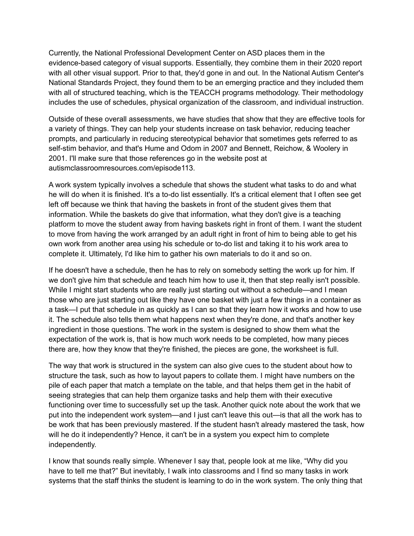Currently, the National Professional Development Center on ASD places them in the evidence-based category of visual supports. Essentially, they combine them in their 2020 report with all other visual support. Prior to that, they'd gone in and out. In the National Autism Center's National Standards Project, they found them to be an emerging practice and they included them with all of structured teaching, which is the TEACCH programs methodology. Their methodology includes the use of schedules, physical organization of the classroom, and individual instruction.

Outside of these overall assessments, we have studies that show that they are effective tools for a variety of things. They can help your students increase on task behavior, reducing teacher prompts, and particularly in reducing stereotypical behavior that sometimes gets referred to as self-stim behavior, and that's Hume and Odom in 2007 and Bennett, Reichow, & Woolery in 2001. I'll make sure that those references go in the website post at autismclassroomresources.com/episode113.

A work system typically involves a schedule that shows the student what tasks to do and what he will do when it is finished. It's a to-do list essentially. It's a critical element that I often see get left off because we think that having the baskets in front of the student gives them that information. While the baskets do give that information, what they don't give is a teaching platform to move the student away from having baskets right in front of them. I want the student to move from having the work arranged by an adult right in front of him to being able to get his own work from another area using his schedule or to-do list and taking it to his work area to complete it. Ultimately, I'd like him to gather his own materials to do it and so on.

If he doesn't have a schedule, then he has to rely on somebody setting the work up for him. If we don't give him that schedule and teach him how to use it, then that step really isn't possible. While I might start students who are really just starting out without a schedule—and I mean those who are just starting out like they have one basket with just a few things in a container as a task—I put that schedule in as quickly as I can so that they learn how it works and how to use it. The schedule also tells them what happens next when they're done, and that's another key ingredient in those questions. The work in the system is designed to show them what the expectation of the work is, that is how much work needs to be completed, how many pieces there are, how they know that they're finished, the pieces are gone, the worksheet is full.

The way that work is structured in the system can also give cues to the student about how to structure the task, such as how to layout papers to collate them. I might have numbers on the pile of each paper that match a template on the table, and that helps them get in the habit of seeing strategies that can help them organize tasks and help them with their executive functioning over time to successfully set up the task. Another quick note about the work that we put into the independent work system—and I just can't leave this out—is that all the work has to be work that has been previously mastered. If the student hasn't already mastered the task, how will he do it independently? Hence, it can't be in a system you expect him to complete independently.

I know that sounds really simple. Whenever I say that, people look at me like, "Why did you have to tell me that?" But inevitably, I walk into classrooms and I find so many tasks in work systems that the staff thinks the student is learning to do in the work system. The only thing that